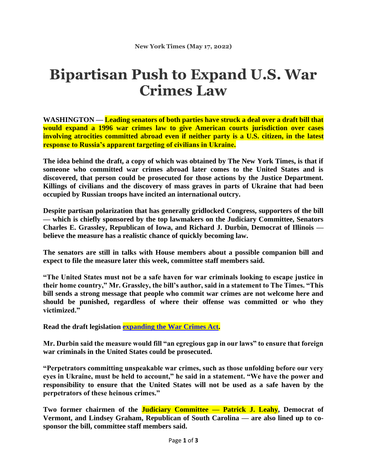## **Bipartisan Push to Expand U.S. War Crimes Law**

**WASHINGTON — Leading senators of both parties have struck a deal over a draft bill that would expand a 1996 war crimes law to give American courts jurisdiction over cases involving atrocities committed abroad even if neither party is a U.S. citizen, in the latest response to Russia's apparent targeting of civilians in Ukraine.**

**The idea behind the draft, a copy of which was obtained by The New York Times, is that if someone who committed war crimes abroad later comes to the United States and is discovered, that person could be prosecuted for those actions by the Justice Department. Killings of civilians and the discovery of mass graves in parts of Ukraine that had been occupied by Russian troops have incited an international outcry.**

**Despite partisan polarization that has generally gridlocked Congress, supporters of the bill — which is chiefly sponsored by the top lawmakers on the Judiciary Committee, Senators Charles E. Grassley, Republican of Iowa, and Richard J. Durbin, Democrat of Illinois believe the measure has a realistic chance of quickly becoming law.**

**The senators are still in talks with House members about a possible companion bill and expect to file the measure later this week, committee staff members said.**

**"The United States must not be a safe haven for war criminals looking to escape justice in their home country," Mr. Grassley, the bill's author, said in a statement to The Times. "This bill sends a strong message that people who commit war crimes are not welcome here and should be punished, regardless of where their offense was committed or who they victimized."**

**Read the draft legislation [expanding](https://int.nyt.com/data/documenttools/draft-grassley-durbin-justice-for-victims-of-war-crimes-act/c906804f2cbc4e36/full.pdf) the War Crimes Act.**

**Mr. Durbin said the measure would fill "an egregious gap in our laws" to ensure that foreign war criminals in the United States could be prosecuted.**

**"Perpetrators committing unspeakable war crimes, such as those unfolding before our very eyes in Ukraine, must be held to account," he said in a statement. "We have the power and responsibility to ensure that the United States will not be used as a safe haven by the perpetrators of these heinous crimes."**

**Two former chairmen of the Judiciary Committee — Patrick J. Leahy, Democrat of Vermont, and Lindsey Graham, Republican of South Carolina — are also lined up to cosponsor the bill, committee staff members said.**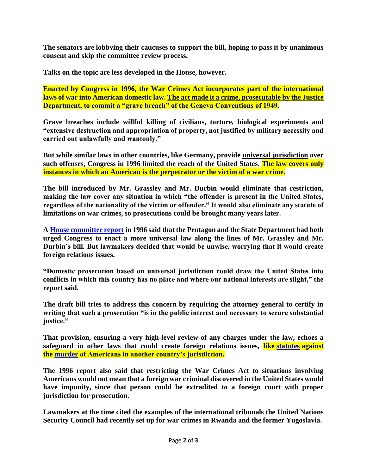**The senators are lobbying their caucuses to support the bill, hoping to pass it by unanimous consent and skip the committee review process.**

**Talks on the topic are less developed in the House, however.**

**Enacted by Congress in 1996, the War Crimes Act incorporates part of the international laws of war into American domestic law. The act made it a crime, prosecutable by the Justice Department, to commit a "grave breach" of the Geneva Conventions of 1949.**

**Grave breaches include willful killing of civilians, torture, biological experiments and "extensive destruction and appropriation of property, not justified by military necessity and carried out unlawfully and wantonly."**

**But while similar laws in other countries, like Germany, provide universal jurisdiction over such offenses, Congress in 1996 limited the reach of the United States. The law covers only instances in which an American is the perpetrator or the victim of a war crime.**

**The bill introduced by Mr. Grassley and Mr. Durbin would eliminate that restriction, making the law cover any situation in which "the offender is present in the United States, regardless of the nationality of the victim or offender." It would also eliminate any statute of limitations on war crimes, so prosecutions could be brought many years later.**

**A House [committee](https://www.congress.gov/104/crpt/hrpt698/CRPT-104hrpt698.pdf) report in 1996 said that the Pentagon and the State Department had both urged Congress to enact a more universal law along the lines of Mr. Grassley and Mr. Durbin's bill. But lawmakers decided that would be unwise, worrying that it would create foreign relations issues.**

**"Domestic prosecution based on universal jurisdiction could draw the United States into conflicts in which this country has no place and where our national interests are slight," the report said.**

**The draft bill tries to address this concern by requiring the attorney general to certify in writing that such a prosecution "is in the public interest and necessary to secure substantial justice."**

**That provision, ensuring a very high-level review of any charges under the law, echoes a safeguard in other laws that could create foreign relations issues, like [statutes](https://www.law.cornell.edu/uscode/text/18/2332) against the [murder](https://www.law.cornell.edu/uscode/text/18/1119) of Americans in another country's jurisdiction.**

**The 1996 report also said that restricting the War Crimes Act to situations involving Americans would not mean that a foreign war criminal discovered in the United States would have impunity, since that person could be extradited to a foreign court with proper jurisdiction for prosecution.**

**Lawmakers at the time cited the examples of the international tribunals the United Nations Security Council had recently set up for war crimes in Rwanda and the former Yugoslavia.**